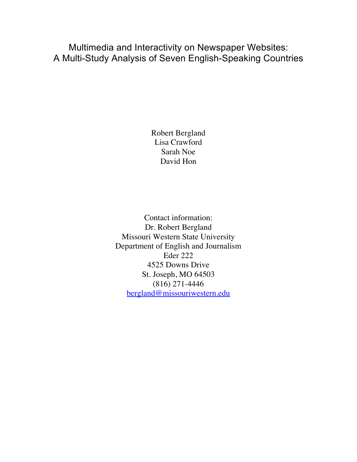Multimedia and Interactivity on Newspaper Websites: A Multi-Study Analysis of Seven English-Speaking Countries

> Robert Bergland Lisa Crawford Sarah Noe David Hon

Contact information: Dr. Robert Bergland Missouri Western State University Department of English and Journalism Eder 222 4525 Downs Drive St. Joseph, MO 64503 (816) 271-4446 bergland@missouriwestern.edu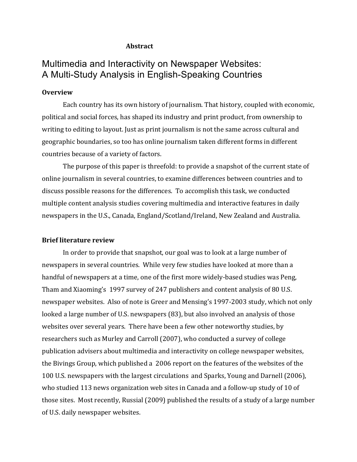## **Abstract**

# Multimedia and Interactivity on Newspaper Websites: A Multi-Study Analysis in English-Speaking Countries

# **Overview**

Each country has its own history of journalism. That history, coupled with economic, political and social forces, has shaped its industry and print product, from ownership to writing to editing to layout. Just as print journalism is not the same across cultural and geographic boundaries, so too has online journalism taken different forms in different countries because of a variety of factors.

The purpose of this paper is threefold: to provide a snapshot of the current state of online journalism in several countries, to examine differences between countries and to discuss possible reasons for the differences. To accomplish this task, we conducted multiple content analysis studies covering multimedia and interactive features in daily newspapers in the U.S., Canada, England/Scotland/Ireland, New Zealand and Australia.

#### **Brief literature review**

In order to provide that snapshot, our goal was to look at a large number of newspapers in several countries. While very few studies have looked at more than a handful of newspapers at a time, one of the first more widely-based studies was Peng, Tham and Xiaoming's 1997 survey of 247 publishers and content analysis of 80 U.S. newspaper websites. Also of note is Greer and Mensing's 1997-2003 study, which not only looked a large number of U.S. newspapers (83), but also involved an analysis of those websites over several years. There have been a few other noteworthy studies, by researchers such as Murley and Carroll (2007), who conducted a survey of college publication advisers about multimedia and interactivity on college newspaper websites, the Bivings Group, which published a 2006 report on the features of the websites of the 100 U.S. newspapers with the largest circulations and Sparks, Young and Darnell (2006), who studied 113 news organization web sites in Canada and a follow-up study of 10 of those sites. Most recently, Russial (2009) published the results of a study of a large number of U.S. daily newspaper websites.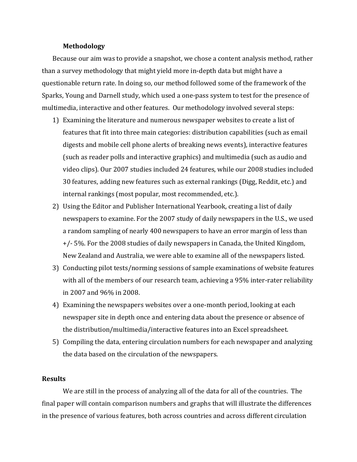## **Methodology**

Because our aim was to provide a snapshot, we chose a content analysis method, rather than a survey methodology that might yield more in-depth data but might have a questionable return rate. In doing so, our method followed some of the framework of the Sparks, Young and Darnell study, which used a one-pass system to test for the presence of multimedia, interactive and other features. Our methodology involved several steps:

- 1) Examining the literature and numerous newspaper websites to create a list of features that fit into three main categories: distribution capabilities (such as email digests and mobile cell phone alerts of breaking news events), interactive features (such as reader polls and interactive graphics) and multimedia (such as audio and video clips). Our 2007 studies included 24 features, while our 2008 studies included 30 features, adding new features such as external rankings (Digg, Reddit, etc.) and internal rankings (most popular, most recommended, etc.).
- 2) Using the Editor and Publisher International Yearbook, creating a list of daily newspapers to examine. For the 2007 study of daily newspapers in the U.S., we used a random sampling of nearly 400 newspapers to have an error margin of less than  $+/-$  5%. For the 2008 studies of daily newspapers in Canada, the United Kingdom, New Zealand and Australia, we were able to examine all of the newspapers listed.
- 3) Conducting pilot tests/norming sessions of sample examinations of website features with all of the members of our research team, achieving a 95% inter-rater reliability in 2007 and 96% in 2008.
- 4) Examining the newspapers websites over a one-month period, looking at each newspaper site in depth once and entering data about the presence or absence of the distribution/multimedia/interactive features into an Excel spreadsheet.
- 5) Compiling the data, entering circulation numbers for each newspaper and analyzing the data based on the circulation of the newspapers.

# **Results**

We are still in the process of analyzing all of the data for all of the countries. The final paper will contain comparison numbers and graphs that will illustrate the differences in the presence of various features, both across countries and across different circulation